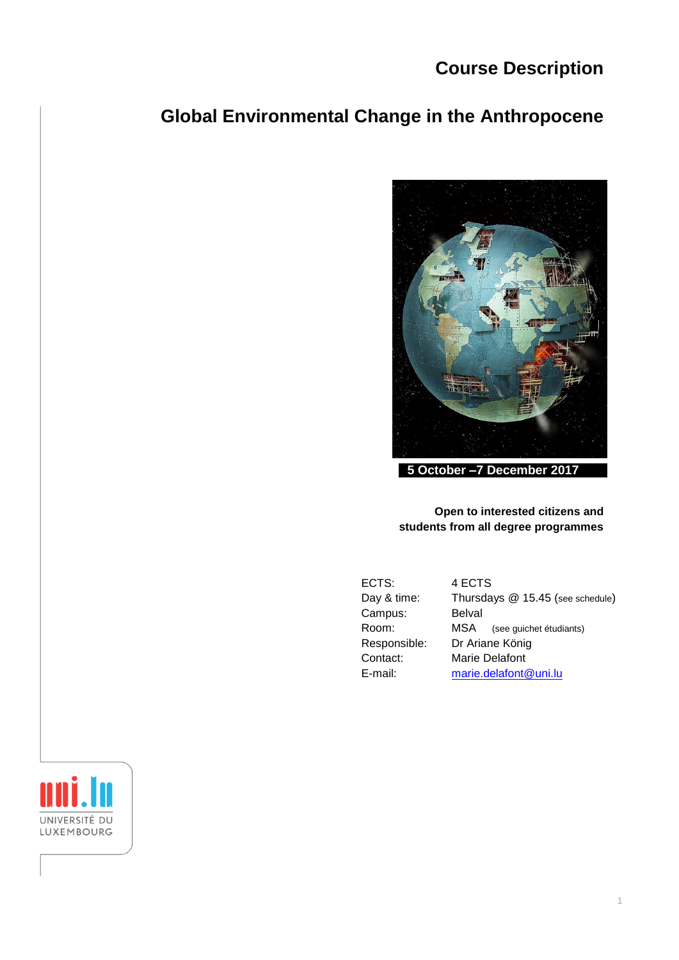# **Course Description**

# **Global Environmental Change in the Anthropocene**



**5 October –7 December 2017**

# **Open to interested citizens and students from all degree programmes**

| ECTS:        | 4 ECTS                           |
|--------------|----------------------------------|
| Day & time:  | Thursdays @ 15.45 (see schedule) |
| Campus:      | <b>Belval</b>                    |
| Room:        | MSA (see guichet étudiants)      |
| Responsible: | Dr Ariane König                  |
| Contact:     | Marie Delafont                   |
| E-mail:      | marie.delafont@uni.lu            |

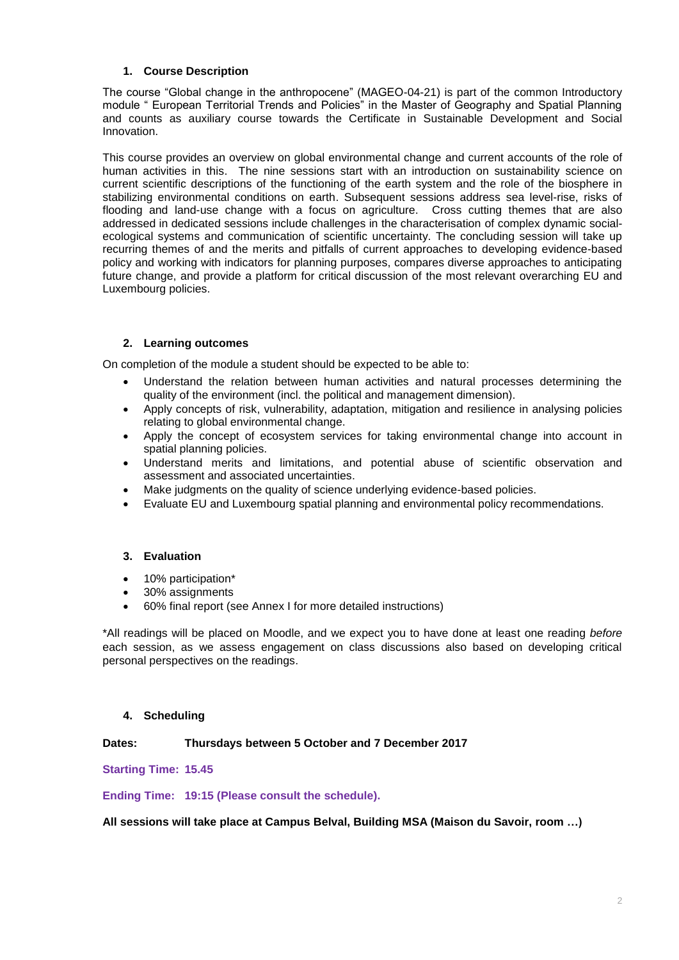# **1. Course Description**

The course "Global change in the anthropocene" (MAGEO-04-21) is part of the common Introductory module " European Territorial Trends and Policies" in the Master of Geography and Spatial Planning and counts as auxiliary course towards the Certificate in Sustainable Development and Social Innovation.

This course provides an overview on global environmental change and current accounts of the role of human activities in this. The nine sessions start with an introduction on sustainability science on current scientific descriptions of the functioning of the earth system and the role of the biosphere in stabilizing environmental conditions on earth. Subsequent sessions address sea level-rise, risks of flooding and land-use change with a focus on agriculture. Cross cutting themes that are also addressed in dedicated sessions include challenges in the characterisation of complex dynamic socialecological systems and communication of scientific uncertainty. The concluding session will take up recurring themes of and the merits and pitfalls of current approaches to developing evidence-based policy and working with indicators for planning purposes, compares diverse approaches to anticipating future change, and provide a platform for critical discussion of the most relevant overarching EU and Luxembourg policies.

# **2. Learning outcomes**

On completion of the module a student should be expected to be able to:

- Understand the relation between human activities and natural processes determining the quality of the environment (incl. the political and management dimension).
- Apply concepts of risk, vulnerability, adaptation, mitigation and resilience in analysing policies relating to global environmental change.
- Apply the concept of ecosystem services for taking environmental change into account in spatial planning policies.
- Understand merits and limitations, and potential abuse of scientific observation and assessment and associated uncertainties.
- Make judgments on the quality of science underlying evidence-based policies.
- Evaluate EU and Luxembourg spatial planning and environmental policy recommendations.

# **3. Evaluation**

- 10% participation\*
- 30% assignments
- 60% final report (see Annex I for more detailed instructions)

\*All readings will be placed on Moodle, and we expect you to have done at least one reading *before* each session, as we assess engagement on class discussions also based on developing critical personal perspectives on the readings.

# **4. Scheduling**

# **Dates: Thursdays between 5 October and 7 December 2017**

**Starting Time: 15.45**

**Ending Time: 19:15 (Please consult the schedule).**

**All sessions will take place at Campus Belval, Building MSA (Maison du Savoir, room …)**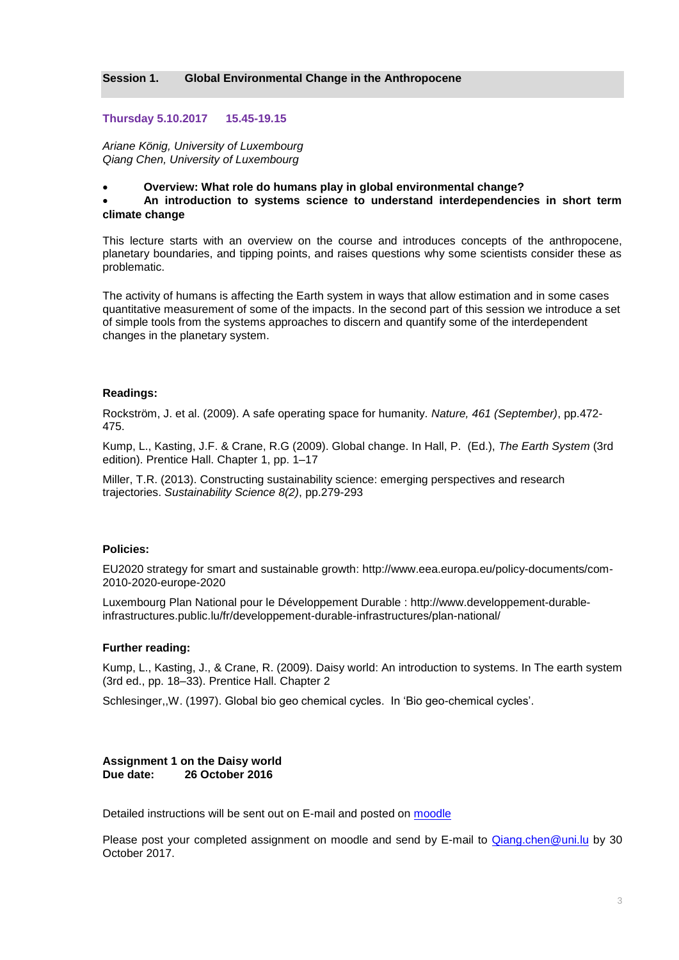#### **Session 1. Global Environmental Change in the Anthropocene**

#### **Thursday 5.10.2017 15.45-19.15**

*Ariane König, University of Luxembourg Qiang Chen, University of Luxembourg* 

#### **Overview: What role do humans play in global environmental change?**

 **An introduction to systems science to understand interdependencies in short term climate change**

This lecture starts with an overview on the course and introduces concepts of the anthropocene, planetary boundaries, and tipping points, and raises questions why some scientists consider these as problematic.

The activity of humans is affecting the Earth system in ways that allow estimation and in some cases quantitative measurement of some of the impacts. In the second part of this session we introduce a set of simple tools from the systems approaches to discern and quantify some of the interdependent changes in the planetary system.

#### **Readings:**

Rockström, J. et al. (2009). A safe operating space for humanity. *Nature, 461 (September)*, pp.472- 475.

Kump, L., Kasting, J.F. & Crane, R.G (2009). Global change. In Hall, P. (Ed.), *The Earth System* (3rd edition). Prentice Hall. Chapter 1, pp. 1–17

Miller, T.R. (2013). Constructing sustainability science: emerging perspectives and research trajectories. *Sustainability Science 8(2)*, pp.279-293

#### **Policies:**

EU2020 strategy for smart and sustainable growth: http://www.eea.europa.eu/policy-documents/com-2010-2020-europe-2020

Luxembourg Plan National pour le Développement Durable : http://www.developpement-durableinfrastructures.public.lu/fr/developpement-durable-infrastructures/plan-national/

#### **Further reading:**

Kump, L., Kasting, J., & Crane, R. (2009). Daisy world: An introduction to systems. In The earth system (3rd ed., pp. 18–33). Prentice Hall. Chapter 2

Schlesinger,,W. (1997). Global bio geo chemical cycles. In 'Bio geo-chemical cycles'.

#### **Assignment 1 on the Daisy world Due date: 26 October 2016**

Detailed instructions will be sent out on E-mail and posted on [moodle](https://moodle.flshase.uni.lu/login/index.php)

Please post your completed assignment on moodle and send by E-mail to [Qiang.chen@uni.lu](mailto:Qiang.chen@uni.lu) by 30 October 2017.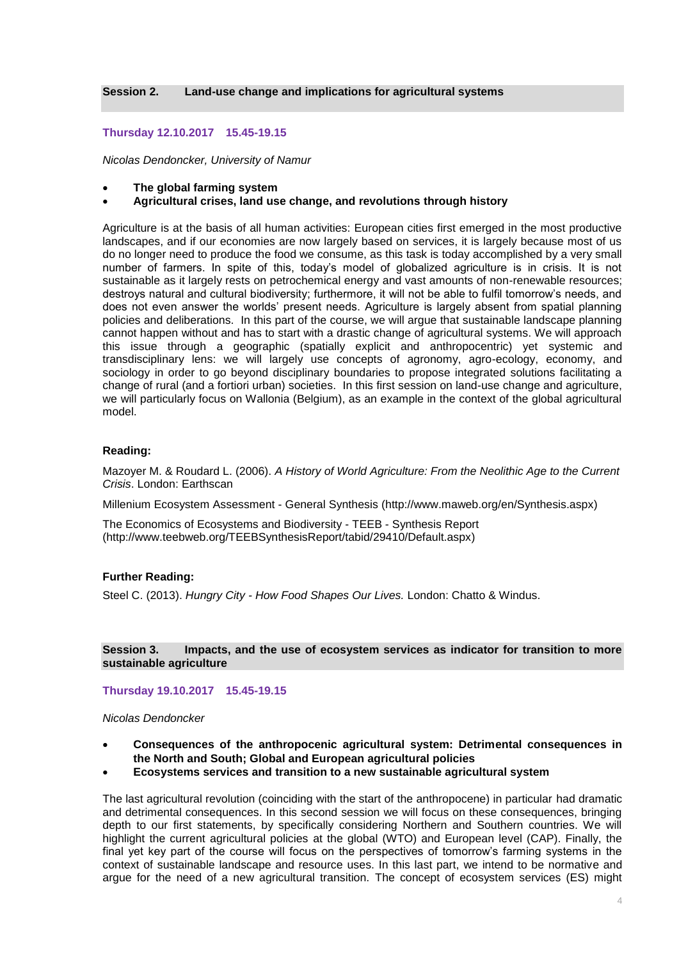#### **Thursday 12.10.2017 15.45-19.15**

*Nicolas Dendoncker, University of Namur*

- **The global farming system**
- **Agricultural crises, land use change, and revolutions through history**

Agriculture is at the basis of all human activities: European cities first emerged in the most productive landscapes, and if our economies are now largely based on services, it is largely because most of us do no longer need to produce the food we consume, as this task is today accomplished by a very small number of farmers. In spite of this, today's model of globalized agriculture is in crisis. It is not sustainable as it largely rests on petrochemical energy and vast amounts of non-renewable resources; destroys natural and cultural biodiversity; furthermore, it will not be able to fulfil tomorrow's needs, and does not even answer the worlds' present needs. Agriculture is largely absent from spatial planning policies and deliberations. In this part of the course, we will argue that sustainable landscape planning cannot happen without and has to start with a drastic change of agricultural systems. We will approach this issue through a geographic (spatially explicit and anthropocentric) yet systemic and transdisciplinary lens: we will largely use concepts of agronomy, agro-ecology, economy, and sociology in order to go beyond disciplinary boundaries to propose integrated solutions facilitating a change of rural (and a fortiori urban) societies. In this first session on land-use change and agriculture, we will particularly focus on Wallonia (Belgium), as an example in the context of the global agricultural model.

#### **Reading:**

Mazoyer M. & Roudard L. (2006). *A History of World Agriculture: From the Neolithic Age to the Current Crisis*. London: Earthscan

Millenium Ecosystem Assessment - General Synthesis [\(http://www.maweb.org/en/Synthesis.aspx\)](http://www.maweb.org/en/Synthesis.aspx)

The Economics of Ecosystems and Biodiversity - TEEB - Synthesis Report [\(http://www.teebweb.org/TEEBSynthesisReport/tabid/29410/Default.aspx\)](http://www.teebweb.org/TEEBSynthesisReport/tabid/29410/Default.aspx)

#### **Further Reading:**

Steel C. (2013). *Hungry City - How Food Shapes Our Lives.* London: Chatto & Windus.

#### **Session 3. Impacts, and the use of ecosystem services as indicator for transition to more sustainable agriculture**

#### **Thursday 19.10.2017 15.45-19.15**

*Nicolas Dendoncker*

- **Consequences of the anthropocenic agricultural system: Detrimental consequences in the North and South; Global and European agricultural policies**
- **Ecosystems services and transition to a new sustainable agricultural system**

The last agricultural revolution (coinciding with the start of the anthropocene) in particular had dramatic and detrimental consequences. In this second session we will focus on these consequences, bringing depth to our first statements, by specifically considering Northern and Southern countries. We will highlight the current agricultural policies at the global (WTO) and European level (CAP). Finally, the final yet key part of the course will focus on the perspectives of tomorrow's farming systems in the context of sustainable landscape and resource uses. In this last part, we intend to be normative and argue for the need of a new agricultural transition. The concept of ecosystem services (ES) might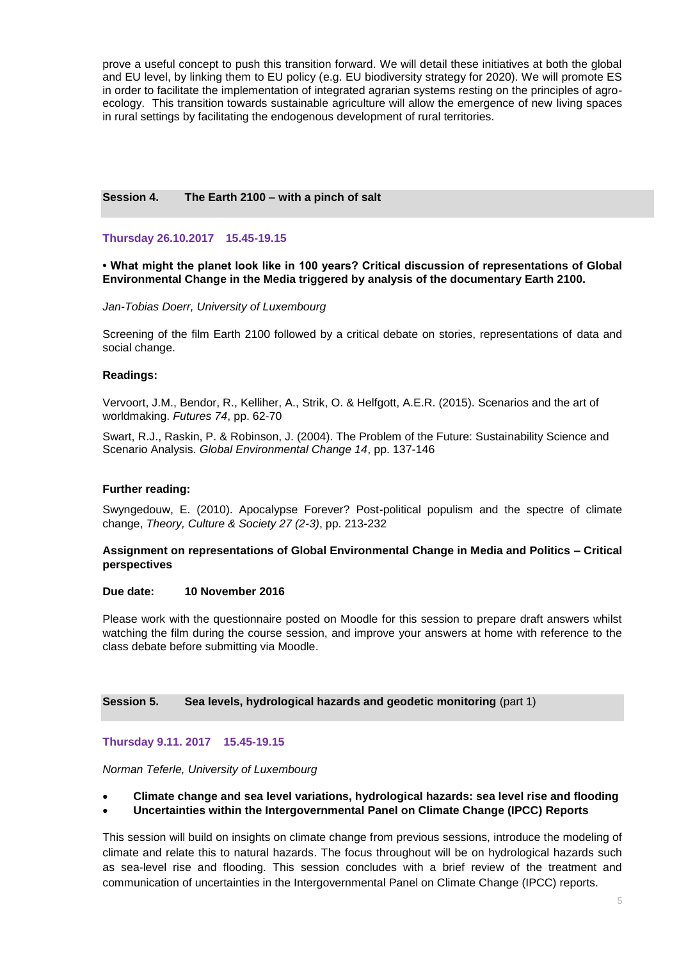prove a useful concept to push this transition forward. We will detail these initiatives at both the global and EU level, by linking them to EU policy (e.g. EU biodiversity strategy for 2020). We will promote ES in order to facilitate the implementation of integrated agrarian systems resting on the principles of agroecology. This transition towards sustainable agriculture will allow the emergence of new living spaces in rural settings by facilitating the endogenous development of rural territories.

#### **Session 4. The Earth 2100 – with a pinch of salt**

**Thursday 26.10.2017 15.45-19.15**

**• What might the planet look like in 100 years? Critical discussion of representations of Global Environmental Change in the Media triggered by analysis of the documentary Earth 2100.**

*Jan-Tobias Doerr, University of Luxembourg*

Screening of the film Earth 2100 followed by a critical debate on stories, representations of data and social change.

#### **Readings:**

Vervoort, J.M., Bendor, R., Kelliher, A., Strik, O. & Helfgott, A.E.R. (2015). Scenarios and the art of worldmaking. *Futures 74*, pp. 62-70

Swart, R.J., Raskin, P. & Robinson, J. (2004). The Problem of the Future: Sustainability Science and Scenario Analysis. *Global Environmental Change 14*, pp. 137-146

#### **Further reading:**

Swyngedouw, E. (2010). Apocalypse Forever? Post-political populism and the spectre of climate change, *Theory, Culture & Society 27 (2-3)*, pp. 213-232

#### **Assignment on representations of Global Environmental Change in Media and Politics – Critical perspectives**

#### **Due date: 10 November 2016**

Please work with the questionnaire posted on Moodle for this session to prepare draft answers whilst watching the film during the course session, and improve your answers at home with reference to the class debate before submitting via Moodle.

**Session 5. Sea levels, hydrological hazards and geodetic monitoring** (part 1)

#### **Thursday 9.11. 2017 15.45-19.15**

*Norman Teferle, University of Luxembourg*

- **Climate change and sea level variations, hydrological hazards: sea level rise and flooding**
- **Uncertainties within the Intergovernmental Panel on Climate Change (IPCC) Reports**

This session will build on insights on climate change from previous sessions, introduce the modeling of climate and relate this to natural hazards. The focus throughout will be on hydrological hazards such as sea-level rise and flooding. This session concludes with a brief review of the treatment and communication of uncertainties in the Intergovernmental Panel on Climate Change (IPCC) reports.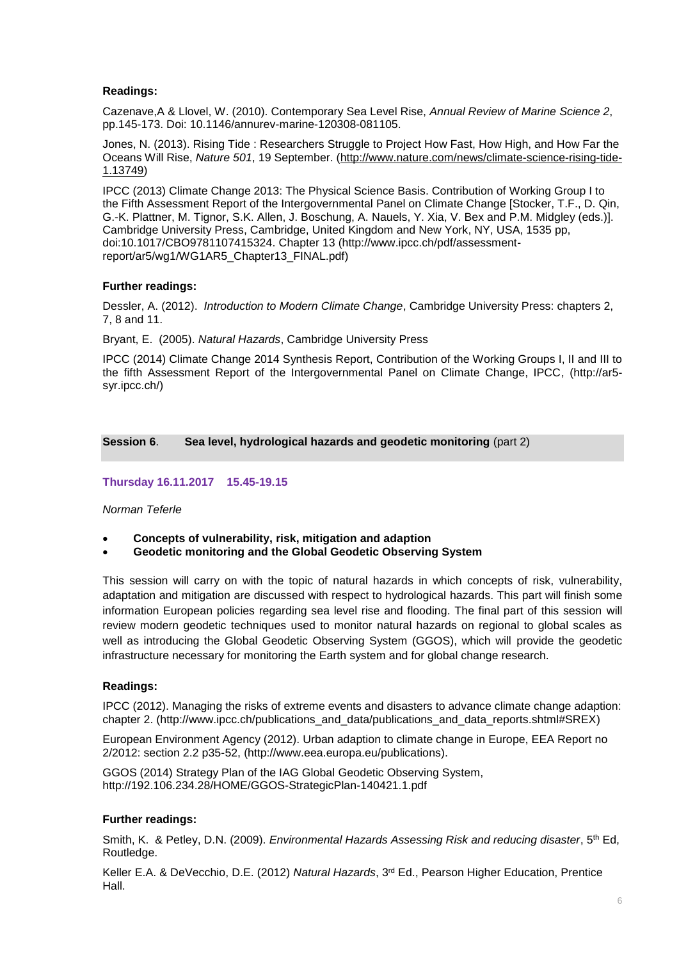# **Readings:**

Cazenave,A & Llovel, W. (2010). Contemporary Sea Level Rise, *Annual Review of Marine Science 2*, pp.145-173. Doi: 10.1146/annurev-marine-120308-081105.

Jones, N. (2013). Rising Tide : Researchers Struggle to Project How Fast, How High, and How Far the Oceans Will Rise, *Nature 501*, 19 September. [\(http://www.nature.com/news/climate-science-rising-tide-](http://www.nature.com/news/climate-science-rising-tide-1.13749)[1.13749\)](http://www.nature.com/news/climate-science-rising-tide-1.13749)

IPCC (2013) Climate Change 2013: The Physical Science Basis. Contribution of Working Group I to the Fifth Assessment Report of the Intergovernmental Panel on Climate Change [Stocker, T.F., D. Qin, G.-K. Plattner, M. Tignor, S.K. Allen, J. Boschung, A. Nauels, Y. Xia, V. Bex and P.M. Midgley (eds.)]. Cambridge University Press, Cambridge, United Kingdom and New York, NY, USA, 1535 pp, doi:10.1017/CBO9781107415324. Chapter 13 (http://www.ipcc.ch/pdf/assessmentreport/ar5/wg1/WG1AR5\_Chapter13\_FINAL.pdf)

### **Further readings:**

Dessler, A. (2012). *Introduction to Modern Climate Change*, Cambridge University Press: chapters 2, 7, 8 and 11.

Bryant, E. (2005). *Natural Hazards*, Cambridge University Press

IPCC (2014) Climate Change 2014 Synthesis Report, Contribution of the Working Groups I, II and III to the fifth Assessment Report of the Intergovernmental Panel on Climate Change, IPCC, (http://ar5 syr.ipcc.ch/)

**Session 6**. **Sea level, hydrological hazards and geodetic monitoring** (part 2)

# **Thursday 16.11.2017 15.45-19.15**

#### *Norman Teferle*

- **Concepts of vulnerability, risk, mitigation and adaption**
- **Geodetic monitoring and the Global Geodetic Observing System**

This session will carry on with the topic of natural hazards in which concepts of risk, vulnerability, adaptation and mitigation are discussed with respect to hydrological hazards. This part will finish some information European policies regarding sea level rise and flooding. The final part of this session will review modern geodetic techniques used to monitor natural hazards on regional to global scales as well as introducing the Global Geodetic Observing System (GGOS), which will provide the geodetic infrastructure necessary for monitoring the Earth system and for global change research.

#### **Readings:**

IPCC (2012). Managing the risks of extreme events and disasters to advance climate change adaption: chapter 2. [\(http://www.ipcc.ch/publications\\_and\\_data/publications\\_and\\_data\\_reports.shtml#SREX\)](http://www.ipcc.ch/publications_and_data/publications_and_data_reports.shtml#SREX)

European Environment Agency (2012). Urban adaption to climate change in Europe, EEA Report no 2/2012: section 2.2 p35-52, (http://www.eea.europa.eu/publications).

GGOS (2014) Strategy Plan of the IAG Global Geodetic Observing System, http://192.106.234.28/HOME/GGOS-StrategicPlan-140421.1.pdf

#### **Further readings:**

Smith, K. & Petley, D.N. (2009). *Environmental Hazards Assessing Risk and reducing disaster*, 5th Ed, Routledge.

Keller E.A. & DeVecchio, D.E. (2012) *Natural Hazards*, 3rd Ed., Pearson Higher Education, Prentice Hall.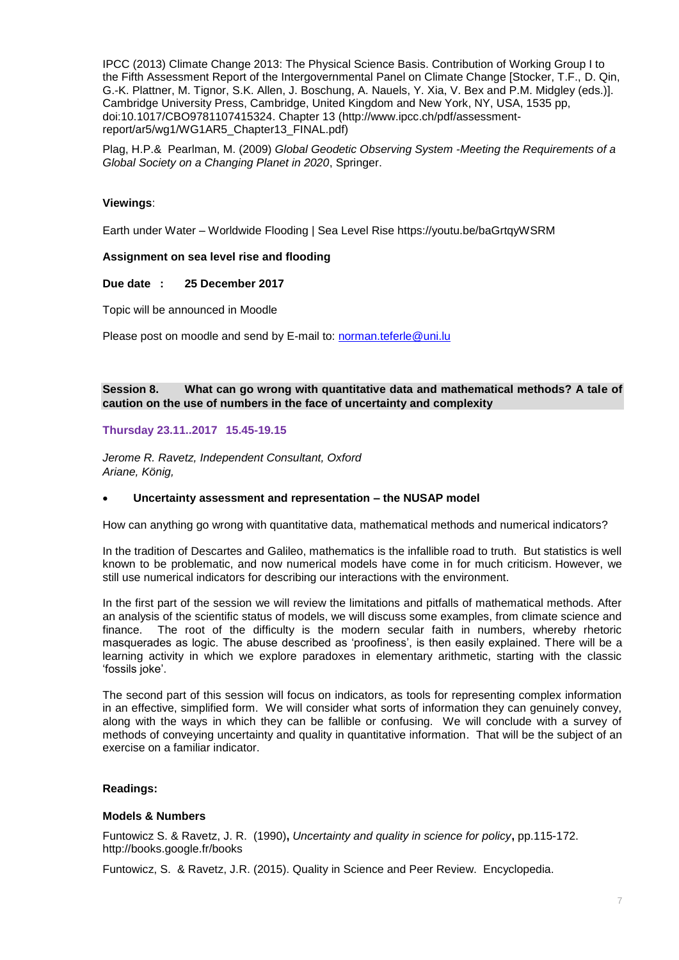IPCC (2013) Climate Change 2013: The Physical Science Basis. Contribution of Working Group I to the Fifth Assessment Report of the Intergovernmental Panel on Climate Change [Stocker, T.F., D. Qin, G.-K. Plattner, M. Tignor, S.K. Allen, J. Boschung, A. Nauels, Y. Xia, V. Bex and P.M. Midgley (eds.)]. Cambridge University Press, Cambridge, United Kingdom and New York, NY, USA, 1535 pp, doi:10.1017/CBO9781107415324. Chapter 13 (http://www.ipcc.ch/pdf/assessmentreport/ar5/wg1/WG1AR5\_Chapter13\_FINAL.pdf)

Plag, H.P.& Pearlman, M. (2009) *Global Geodetic Observing System -Meeting the Requirements of a Global Society on a Changing Planet in 2020*, Springer.

### **Viewings**:

Earth under Water – Worldwide Flooding | Sea Level Rise https://youtu.be/baGrtqyWSRM

#### **Assignment on sea level rise and flooding**

#### **Due date : 25 December 2017**

Topic will be announced in Moodle

Please post on moodle and send by E-mail to: [norman.teferle@uni.lu](file:///C:/Users/danielle.schwirtz/AppData/Local/Microsoft/Windows/AppData/Local/Microsoft/Windows/Temporary%20Internet%20Files/Content.Outlook/MD2VSADX/norman.teferle@uni.lu)

# **Session 8. What can go wrong with quantitative data and mathematical methods? A tale of caution on the use of numbers in the face of uncertainty and complexity**

#### **Thursday 23.11..2017 15.45-19.15**

*Jerome R. Ravetz, Independent Consultant, Oxford Ariane, König,* 

#### **Uncertainty assessment and representation – the NUSAP model**

How can anything go wrong with quantitative data, mathematical methods and numerical indicators?

In the tradition of Descartes and Galileo, mathematics is the infallible road to truth. But statistics is well known to be problematic, and now numerical models have come in for much criticism. However, we still use numerical indicators for describing our interactions with the environment.

In the first part of the session we will review the limitations and pitfalls of mathematical methods. After an analysis of the scientific status of models, we will discuss some examples, from climate science and finance. The root of the difficulty is the modern secular faith in numbers, whereby rhetoric masquerades as logic. The abuse described as 'proofiness', is then easily explained. There will be a learning activity in which we explore paradoxes in elementary arithmetic, starting with the classic 'fossils joke'.

The second part of this session will focus on indicators, as tools for representing complex information in an effective, simplified form. We will consider what sorts of information they can genuinely convey, along with the ways in which they can be fallible or confusing. We will conclude with a survey of methods of conveying uncertainty and quality in quantitative information. That will be the subject of an exercise on a familiar indicator.

#### **Readings:**

#### **Models & Numbers**

Funtowicz S. & Ravetz, J. R. (1990)**,** *Uncertainty and quality in science for policy***,** pp.115-172. [http://books.google.fr/books](http://books.google.fr/books?id=lINAsNfN7i4C&printsec=frontcover&hl=fr#v=onepage&q&f=false)

Funtowicz, S. & Ravetz, J.R. (2015). Quality in Science and Peer Review. Encyclopedia.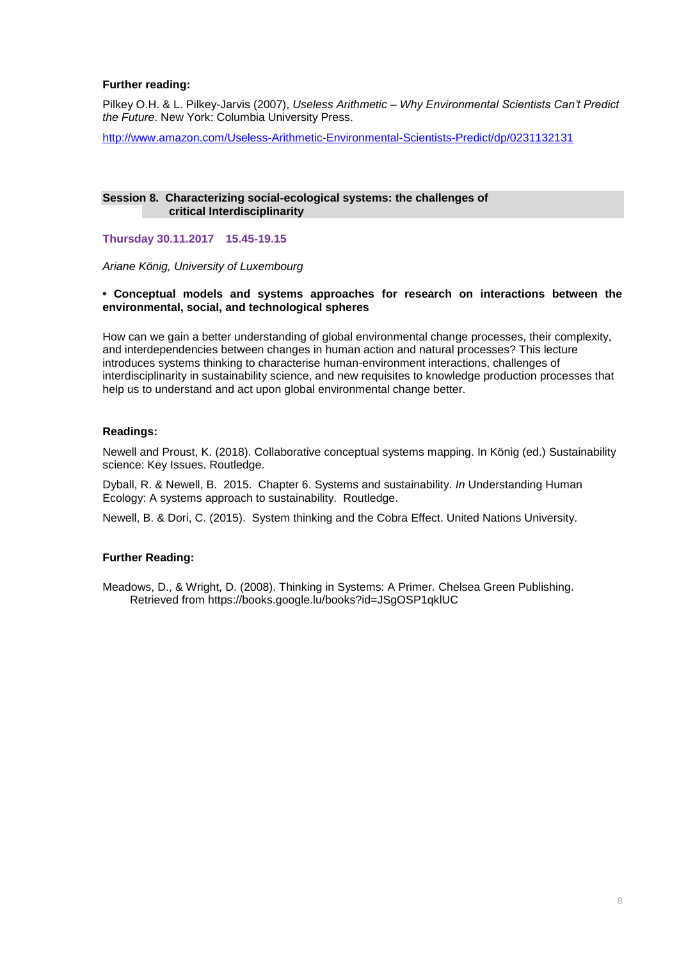# **Further reading:**

Pilkey O.H. & L. Pilkey-Jarvis (2007), *Useless Arithmetic – Why Environmental Scientists Can't Predict the Future*. New York: Columbia University Press.

<http://www.amazon.com/Useless-Arithmetic-Environmental-Scientists-Predict/dp/0231132131>

#### **Session 8. Characterizing social-ecological systems: the challenges of critical Interdisciplinarity**

**Thursday 30.11.2017 15.45-19.15** 

*Ariane König, University of Luxembourg*

### **• Conceptual models and systems approaches for research on interactions between the environmental, social, and technological spheres**

How can we gain a better understanding of global environmental change processes, their complexity, and interdependencies between changes in human action and natural processes? This lecture introduces systems thinking to characterise human-environment interactions, challenges of interdisciplinarity in sustainability science, and new requisites to knowledge production processes that help us to understand and act upon global environmental change better.

# **Readings:**

Newell and Proust, K. (2018). Collaborative conceptual systems mapping. In König (ed.) Sustainability science: Key Issues. Routledge.

Dyball, R. & Newell, B. 2015. Chapter 6. Systems and sustainability. *In* Understanding Human Ecology: A systems approach to sustainability. Routledge.

Newell, B. & Dori, C. (2015). System thinking and the Cobra Effect. United Nations University.

# **Further Reading:**

Meadows, D., & Wright, D. (2008). Thinking in Systems: A Primer. Chelsea Green Publishing. Retrieved from https://books.google.lu/books?id=JSgOSP1qklUC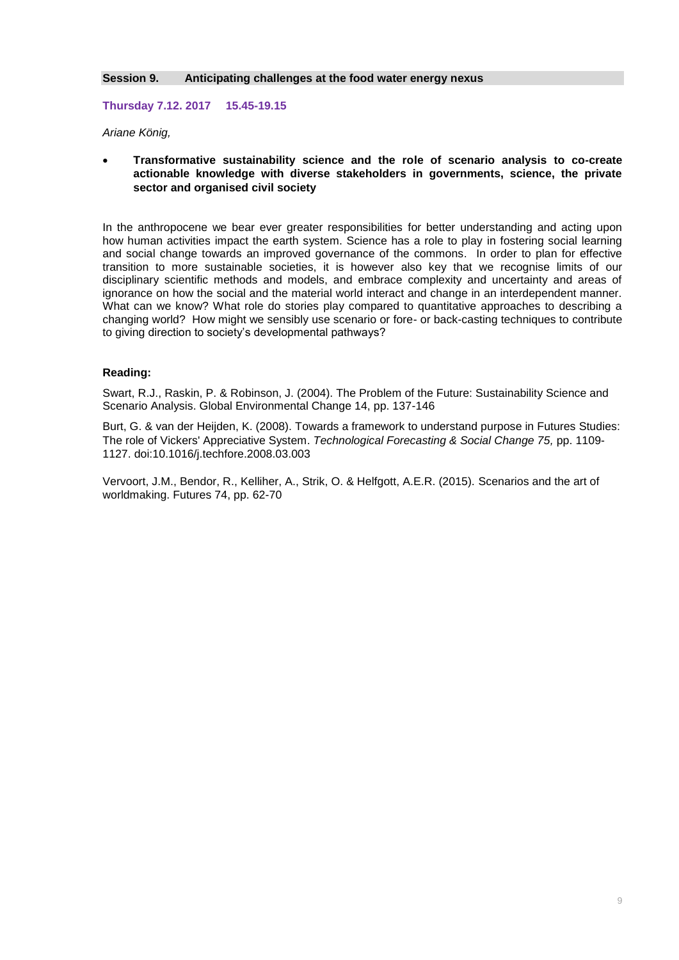#### **Session 9. Anticipating challenges at the food water energy nexus**

**Thursday 7.12. 2017 15.45-19.15**

*Ariane König,* 

 **Transformative sustainability science and the role of scenario analysis to co-create actionable knowledge with diverse stakeholders in governments, science, the private sector and organised civil society**

In the anthropocene we bear ever greater responsibilities for better understanding and acting upon how human activities impact the earth system. Science has a role to play in fostering social learning and social change towards an improved governance of the commons. In order to plan for effective transition to more sustainable societies, it is however also key that we recognise limits of our disciplinary scientific methods and models, and embrace complexity and uncertainty and areas of ignorance on how the social and the material world interact and change in an interdependent manner. What can we know? What role do stories play compared to quantitative approaches to describing a changing world? How might we sensibly use scenario or fore- or back-casting techniques to contribute to giving direction to society's developmental pathways?

# **Reading:**

Swart, R.J., Raskin, P. & Robinson, J. (2004). The Problem of the Future: Sustainability Science and Scenario Analysis. Global Environmental Change 14, pp. 137-146

Burt, G. & van der Heijden, K. (2008). Towards a framework to understand purpose in Futures Studies: The role of Vickers' Appreciative System. *Technological Forecasting & Social Change 75,* pp. 1109- 1127. doi:10.1016/j.techfore.2008.03.003

Vervoort, J.M., Bendor, R., Kelliher, A., Strik, O. & Helfgott, A.E.R. (2015). Scenarios and the art of worldmaking. Futures 74, pp. 62-70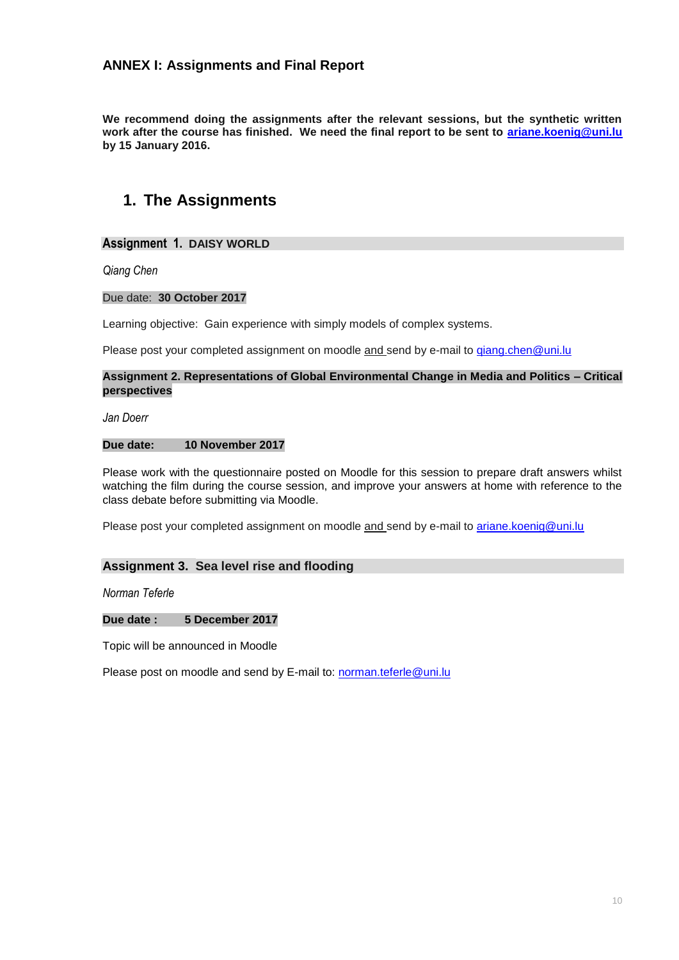# **ANNEX I: Assignments and Final Report**

**We recommend doing the assignments after the relevant sessions, but the synthetic written work after the course has finished. We need the final report to be sent to [ariane.koenig@uni.lu](mailto:ariane.koenig@uni.lu) by 15 January 2016.** 

# **1. The Assignments**

# **Assignment 1. DAISY WORLD**

*Qiang Chen*

### Due date: **30 October 2017**

Learning objective: Gain experience with simply models of complex systems.

Please post your completed assignment on moodle and send by e-mail to [qiang.chen@uni.lu](Library/Library/Caches/TemporaryItems/ariane.koenig@uni.lu)

### **Assignment 2. Representations of Global Environmental Change in Media and Politics – Critical perspectives**

*Jan Doerr*

# **Due date: 10 November 2017**

Please work with the questionnaire posted on Moodle for this session to prepare draft answers whilst watching the film during the course session, and improve your answers at home with reference to the class debate before submitting via Moodle.

Please post your completed assignment on moodle and send by e-mail to [ariane.koenig@uni.lu](../ariane.koenig@uni.lu)

# **Assignment 3. Sea level rise and flooding**

*Norman Teferle*

#### **Due date : 5 December 2017**

Topic will be announced in Moodle

Please post on moodle and send by E-mail to: [norman.teferle@uni.lu](file:///C:/Users/danielle.schwirtz/AppData/Local/Microsoft/Windows/AppData/Local/Microsoft/Windows/Temporary%20Internet%20Files/Content.Outlook/MD2VSADX/norman.teferle@uni.lu)